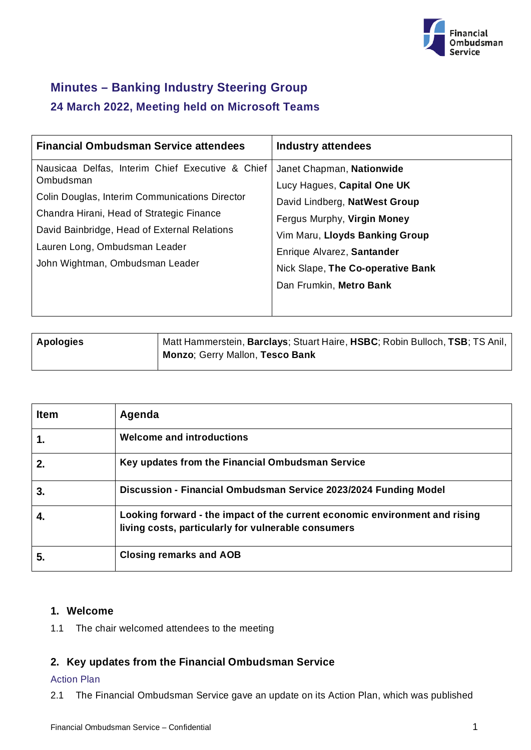

# **Minutes – Banking Industry Steering Group 24 March 2022, Meeting held on Microsoft Teams**

| <b>Financial Ombudsman Service attendees</b>                                                                                                                                                                                                                                     | <b>Industry attendees</b>                                                                                                                                                                                                                                |
|----------------------------------------------------------------------------------------------------------------------------------------------------------------------------------------------------------------------------------------------------------------------------------|----------------------------------------------------------------------------------------------------------------------------------------------------------------------------------------------------------------------------------------------------------|
| Nausicaa Delfas, Interim Chief Executive & Chief<br>Ombudsman<br>Colin Douglas, Interim Communications Director<br>Chandra Hirani, Head of Strategic Finance<br>David Bainbridge, Head of External Relations<br>Lauren Long, Ombudsman Leader<br>John Wightman, Ombudsman Leader | Janet Chapman, Nationwide<br>Lucy Hagues, Capital One UK<br>David Lindberg, NatWest Group<br>Fergus Murphy, Virgin Money<br>Vim Maru, Lloyds Banking Group<br>Enrique Alvarez, Santander<br>Nick Slape, The Co-operative Bank<br>Dan Frumkin, Metro Bank |

| <b>Apologies</b> | Matt Hammerstein, Barclays; Stuart Haire, HSBC; Robin Bulloch, TSB; TS Anil, |
|------------------|------------------------------------------------------------------------------|
|                  | Monzo; Gerry Mallon, Tesco Bank                                              |

| <b>Item</b> | Agenda                                                                                                                             |
|-------------|------------------------------------------------------------------------------------------------------------------------------------|
| 1.          | <b>Welcome and introductions</b>                                                                                                   |
| $2_{\cdot}$ | Key updates from the Financial Ombudsman Service                                                                                   |
| 3.          | Discussion - Financial Ombudsman Service 2023/2024 Funding Model                                                                   |
|             | Looking forward - the impact of the current economic environment and rising<br>living costs, particularly for vulnerable consumers |
| 5.          | <b>Closing remarks and AOB</b>                                                                                                     |

# **1. Welcome**

1.1 The chair welcomed attendees to the meeting

# **2. Key updates from the Financial Ombudsman Service**

## Action Plan

2.1 The Financial Ombudsman Service gave an update on its Action Plan, which was published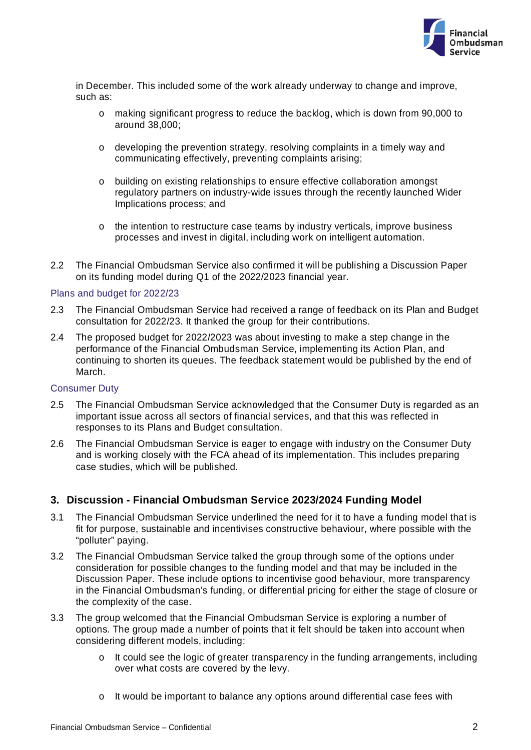

in December. This included some of the work already underway to change and improve, such as:

- o making significant progress to reduce the backlog, which is down from 90,000 to around 38,000;
- o developing the prevention strategy, resolving complaints in a timely way and communicating effectively, preventing complaints arising;
- o building on existing relationships to ensure effective collaboration amongst regulatory partners on industry-wide issues through the recently launched Wider Implications process; and
- o the intention to restructure case teams by industry verticals, improve business processes and invest in digital, including work on intelligent automation.
- 2.2 The Financial Ombudsman Service also confirmed it will be publishing a Discussion Paper on its funding model during Q1 of the 2022/2023 financial year.

#### Plans and budget for 2022/23

- 2.3 The Financial Ombudsman Service had received a range of feedback on its Plan and Budget consultation for 2022/23. It thanked the group for their contributions.
- 2.4 The proposed budget for 2022/2023 was about investing to make a step change in the performance of the Financial Ombudsman Service, implementing its Action Plan, and continuing to shorten its queues. The feedback statement would be published by the end of March.

#### Consumer Duty

- 2.5 The Financial Ombudsman Service acknowledged that the Consumer Duty is regarded as an important issue across all sectors of financial services, and that this was reflected in responses to its Plans and Budget consultation.
- 2.6 The Financial Ombudsman Service is eager to engage with industry on the Consumer Duty and is working closely with the FCA ahead of its implementation. This includes preparing case studies, which will be published.

# **3. Discussion - Financial Ombudsman Service 2023/2024 Funding Model**

- 3.1 The Financial Ombudsman Service underlined the need for it to have a funding model that is fit for purpose, sustainable and incentivises constructive behaviour, where possible with the "polluter" paying.
- 3.2 The Financial Ombudsman Service talked the group through some of the options under consideration for possible changes to the funding model and that may be included in the Discussion Paper. These include options to incentivise good behaviour, more transparency in the Financial Ombudsman's funding, or differential pricing for either the stage of closure or the complexity of the case.
- 3.3 The group welcomed that the Financial Ombudsman Service is exploring a number of options. The group made a number of points that it felt should be taken into account when considering different models, including:
	- o It could see the logic of greater transparency in the funding arrangements, including over what costs are covered by the levy.
	- o It would be important to balance any options around differential case fees with